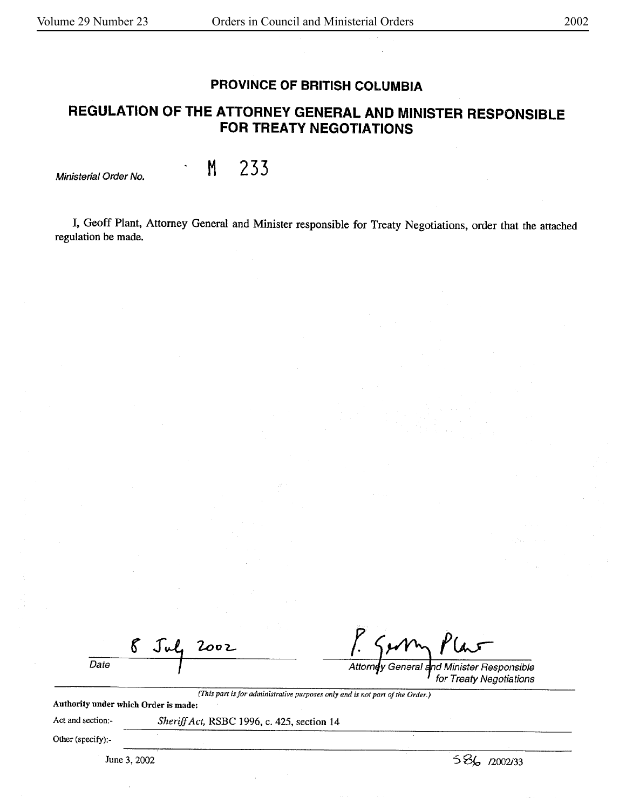## **PROVINCE OF BRITISH COLUMBIA**

# **REGULATION OF THE ATTORNEY GENERAL AND MINISTER RESPONSIBLE FOR TREATY NEGOTIATIONS**

Ministerial Order No. **M 233** 

I, Geoff Plant, Attorney General and Minister responsible for Treaty Negotiations. order that the attached regulation be made.

 $\mathcal{E}$ 2002 Date

**r** 

Attorney General d Minister Responsible for Treaty Negotiations

*(This part is for administrative purposes only and* is *not part of the Order.)*  Authority under which Order is made:

Act and section:-

*Sheriff Act,* RSBC 1996, c. 425, section 14

Other (specify):-

June 3, 2002

s Sk, 12002133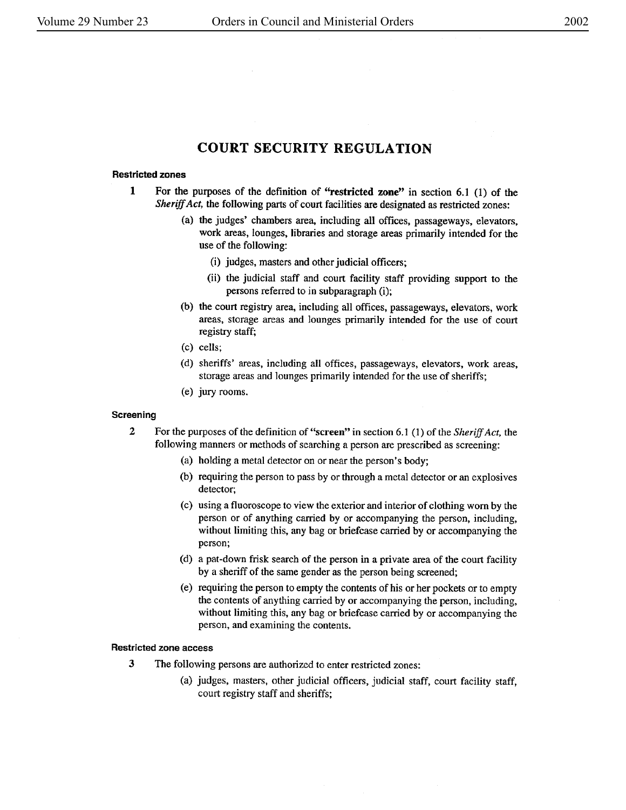## **COURT SECURITY REGULATION**

## **Restricted zones**

- **1** For the purposes of the definition of **''restricted zone''** in section 6.1 (1) of the *Sheriff Act,* the following parts of court facilities are designated as restricted zones:
	- (a) the judges' chambers area, including all offices, passageways, elevators, work areas, lounges, libraries and storage areas primarily intended for the use of the following:
		- (i) judges, masters and other judicial officers;
		- (ii) the judicial staff and court facility staff providing support to the persons referred to in subparagraph (i);
	- (b) the court registry area, including all offices, passageways, elevators, work areas, storage areas and lounges primarily intended for the use of court registry staff;
	- (c) cells;
	- (d) sheriffs' areas, including all offices, passageways, elevators, work areas, storage areas and lounges primarily intended for the use of sheriffs;
	- (e) jury rooms.

## **Screening**

- **2** For the purposes of the definition of **"screen"** in section 6.1 (1) of the *Sheriff Act,* the following manners or methods of searching a person are prescribed as screening:
	- (a) holding a metal detector on ornear the person's body;
	- (b) requiring the person to pass by or through a metal detector or an explosives detector,
	- ( c) using a fluoroscope to view the exterior and interior of clothing worn by the person or of anything carried by or accompanying the person, including, without limiting this, any bag or briefcase carried by or accompanying the person;
	- (d) a pat-down frisk search of the person in a private area of the court facility by a sheriff of the same gender as the person being screened;
	- ( e) requiring the person to empty the contents of his or her pockets or to empty the contents of anything carried by or accompanying the person, including, without limiting this, any bag or briefcase carried by or accompanying the person, and examining the contents.

#### **Restricted zone access**

- 3 The following persons are authorized to enter restricted zones:
	- (a) judges, masters, other judicial officers, judicial staff, court facility staff, court registry staff and sheriffs;